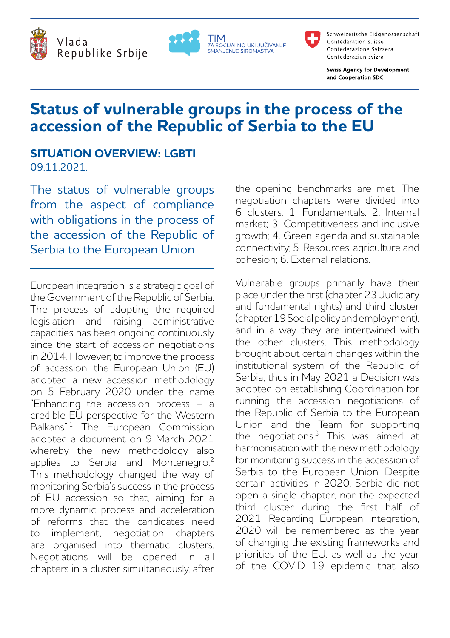





Schweizerische Eidgenossenschaft Confédération suisse Confederazione Svizzera Confederaziun svizra

**Swiss Agency for Development** and Cooperation SDC

# **Status of vulnerable groups in the process of the accession of the Republic of Serbia to the EU**

### **SITUATION OVERVIEW: LGBTI** 09.11.2021.

The status of vulnerable groups from the aspect of compliance with obligations in the process of the accession of the Republic of Serbia to the European Union

European integration is a strategic goal of the Government of the Republic of Serbia. The process of adopting the required legislation and raising administrative capacities has been ongoing continuously since the start of accession negotiations in 2014. However, to improve the process of accession, the European Union (EU) adopted a new accession methodology on 5 February 2020 under the name "Enhancing the accession process – a credible EU perspective for the Western Balkans".<sup>1</sup> The European Commission adopted a document on 9 March 2021 whereby the new methodology also applies to Serbia and Montenegro.<sup>2</sup> This methodology changed the way of monitoring Serbia's success in the process of EU accession so that, aiming for a more dynamic process and acceleration of reforms that the candidates need implement, negotiation chapters are organised into thematic clusters. Negotiations will be opened in all chapters in a cluster simultaneously, after the opening benchmarks are met. The negotiation chapters were divided into 6 clusters: 1. Fundamentals; 2. Internal market; 3. Competitiveness and inclusive growth; 4. Green agenda and sustainable connectivity; 5. Resources, agriculture and cohesion; 6. External relations.

Vulnerable groups primarily have their place under the first (chapter 23 Judiciary and fundamental rights) and third cluster (chapter 19 Social policy and employment), and in a way they are intertwined with the other clusters. This methodology brought about certain changes within the institutional system of the Republic of Serbia, thus in May 2021 a Decision was adopted on establishing Coordination for running the accession negotiations of the Republic of Serbia to the European Union and the Team for supporting the negotiations.<sup>3</sup> This was aimed at harmonisation with the new methodology for monitoring success in the accession of Serbia to the European Union. Despite certain activities in 2020, Serbia did not open a single chapter, nor the expected third cluster during the first half of 2021. Regarding European integration, 2020 will be remembered as the year of changing the existing frameworks and priorities of the EU, as well as the year of the COVID 19 epidemic that also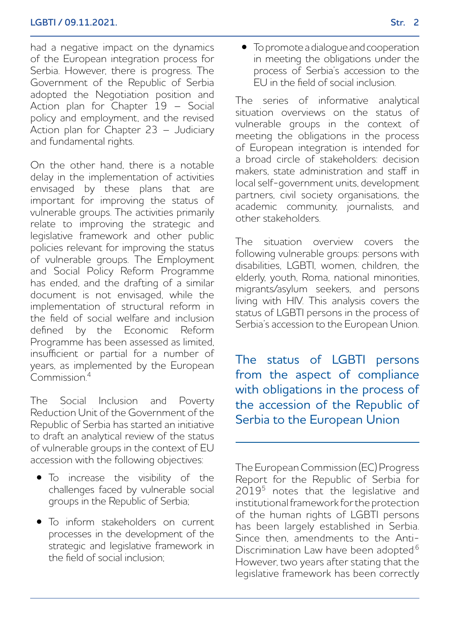had a negative impact on the dynamics of the European integration process for Serbia. However, there is progress. The Government of the Republic of Serbia adopted the Negotiation position and Action plan for Chapter 19 – Social policy and employment, and the revised Action plan for Chapter 23 – Judiciary and fundamental rights.

On the other hand, there is a notable delay in the implementation of activities envisaged by these plans that are important for improving the status of vulnerable groups. The activities primarily relate to improving the strategic and legislative framework and other public policies relevant for improving the status of vulnerable groups. The Employment and Social Policy Reform Programme has ended, and the drafting of a similar document is not envisaged, while the implementation of structural reform in the field of social welfare and inclusion defined by the Economic Reform Programme has been assessed as limited, insufficient or partial for a number of years, as implemented by the European  $Commission<sup>4</sup>$ 

The Social Inclusion and Poverty Reduction Unit of the Government of the Republic of Serbia has started an initiative to draft an analytical review of the status of vulnerable groups in the context of EU accession with the following objectives:

- To increase the visibility of the challenges faced by vulnerable social groups in the Republic of Serbia;
- To inform stakeholders on current processes in the development of the strategic and legislative framework in the field of social inclusion;

• To promote a dialogue and cooperation in meeting the obligations under the process of Serbia's accession to the EU in the field of social inclusion.

The series of informative analytical situation overviews on the status of vulnerable groups in the context of meeting the obligations in the process of European integration is intended for a broad circle of stakeholders: decision makers, state administration and staff in local self-government units, development partners, civil society organisations, the academic community, journalists, and other stakeholders.

The situation overview covers the following vulnerable groups: persons with disabilities, LGBTI, women, children, the elderly, youth, Roma, national minorities, migrants/asylum seekers, and persons living with HIV. This analysis covers the status of LGBTI persons in the process of Serbia's accession to the European Union.

The status of LGBTI persons from the aspect of compliance with obligations in the process of the accession of the Republic of Serbia to the European Union

The European Commission (EC) Progress Report for the Republic of Serbia for 2019<sup>5</sup> notes that the legislative and institutional framework for the protection of the human rights of LGBTI persons has been largely established in Serbia. Since then, amendments to the Anti-Discrimination Law have been adopted.<sup>6</sup> However, two years after stating that the legislative framework has been correctly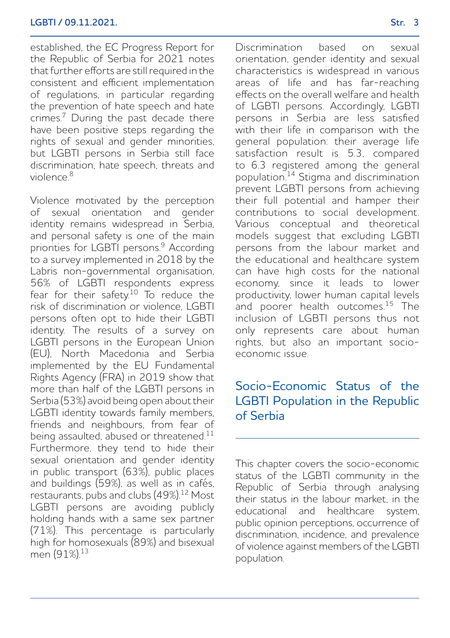established, the EC Progress Report for the Republic of Serbia for 2021 notes that further efforts are still required in the consistent and efficient implementation of regulations, in particular regarding the prevention of hate speech and hate crimes.7 During the past decade there have been positive steps regarding the rights of sexual and gender minorities, but LGBTI persons in Serbia still face discrimination, hate speech, threats and  $viol = c<sup>8</sup>$ 

Violence motivated by the perception of sexual orientation and gender identity remains widespread in Serbia, and personal safety is one of the main priorities for LGBTI persons.<sup>9</sup> According to a survey implemented in 2018 by the Labris non-governmental organisation, 56% of LGBTI respondents express fear for their safety.<sup>10</sup> To reduce the risk of discrimination or violence, LGBTI persons often opt to hide their LGBTI identity. The results of a survey on LGBTI persons in the European Union (EU), North Macedonia and Serbia implemented by the EU Fundamental Rights Agency (FRA) in 2019 show that more than half of the LGBTI persons in Serbia (53%) avoid being open about their LGBTI identity towards family members, friends and neighbours, from fear of being assaulted, abused or threatened.<sup>11</sup> Furthermore, they tend to hide their sexual orientation and gender identity in public transport (63%), public places and buildings (59%), as well as in cafés, restaurants, pubs and clubs (49%).<sup>12</sup> Most LGBTI persons are avoiding publicly holding hands with a same sex partner (71%). This percentage is particularly high for homosexuals (89%) and bisexual men (91%).<sup>13</sup>

Discrimination based on sexual orientation, gender identity and sexual characteristics is widespread in various areas of life and has far-reaching effects on the overall welfare and health of LGBTI persons. Accordingly, LGBTI persons in Serbia are less satisfied with their life in comparison with the general population: their average life satisfaction result is 5.3, compared to 6.3 registered among the general population.14 Stigma and discrimination prevent LGBTI persons from achieving their full potential and hamper their contributions to social development. Various conceptual and theoretical models suggest that excluding LGBTI persons from the labour market and the educational and healthcare system can have high costs for the national economy, since it leads to lower productivity, lower human capital levels and poorer health outcomes.<sup>15</sup> The inclusion of LGBTI persons thus not only represents care about human rights, but also an important socioeconomic issue.

## Socio-Economic Status of the LGBTI Population in the Republic of Serbia

This chapter covers the socio-economic status of the LGBTI community in the Republic of Serbia through analysing their status in the labour market, in the educational and healthcare system, public opinion perceptions, occurrence of discrimination, incidence, and prevalence of violence against members of the LGBTI population.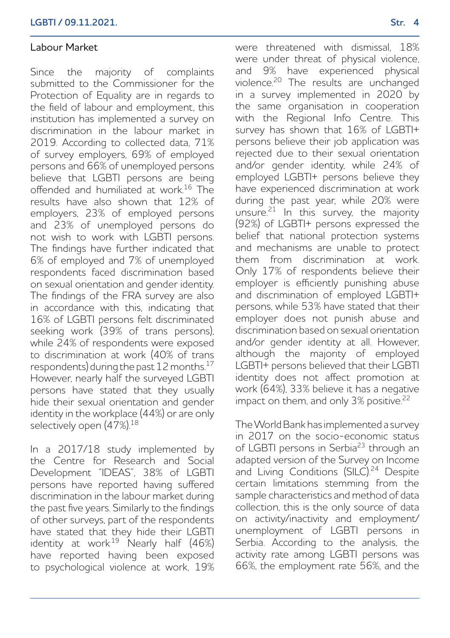#### Labour Market

Since the majority of complaints submitted to the Commissioner for the Protection of Equality are in regards to the field of labour and employment, this institution has implemented a survey on discrimination in the labour market in 2019. According to collected data, 71% of survey employers, 69% of employed persons and 66% of unemployed persons believe that LGBTI persons are being offended and humiliated at work $16$  The results have also shown that 12% of employers, 23% of employed persons and 23% of unemployed persons do not wish to work with LGBTI persons. The findings have further indicated that 6% of employed and 7% of unemployed respondents faced discrimination based on sexual orientation and gender identity. The findings of the FRA survey are also in accordance with this, indicating that 16% of LGBTI persons felt discriminated seeking work (39% of trans persons), while 24% of respondents were exposed to discrimination at work (40% of trans respondents) during the past 12 months.<sup>17</sup> However, nearly half the surveyed LGBTI persons have stated that they usually hide their sexual orientation and gender identity in the workplace (44%) or are only selectively open (47%).<sup>18</sup>

In a 2017/18 study implemented by the Centre for Research and Social Development "IDEAS", 38% of LGBTI persons have reported having suffered discrimination in the labour market during the past five years. Similarly to the findings of other surveys, part of the respondents have stated that they hide their LGBTI identity at work.<sup>19</sup> Nearly half (46%) have reported having been exposed to psychological violence at work, 19% were threatened with dismissal, 18% were under threat of physical violence, and 9% have experienced physical violence.20 The results are unchanged in a survey implemented in 2020 by the same organisation in cooperation with the Regional Info Centre. This survey has shown that 16% of LGBTI+ persons believe their job application was rejected due to their sexual orientation and/or gender identity, while 24% of employed LGBTI+ persons believe they have experienced discrimination at work during the past year, while 20% were unsure. $21$  In this survey, the majority (92%) of LGBTI+ persons expressed the belief that national protection systems and mechanisms are unable to protect them from discrimination at work. Only 17% of respondents believe their employer is efficiently punishing abuse and discrimination of employed LGBTI+ persons, while 53% have stated that their employer does not punish abuse and discrimination based on sexual orientation and/or gender identity at all. However, although the majority of employed LGBTI+ persons believed that their LGBTI identity does not affect promotion at work (64%), 33% believe it has a negative impact on them, and only 3% positive.<sup>22</sup>

The World Bank has implemented a survey in 2017 on the socio-economic status of LGBTI persons in Serbia<sup>23</sup> through an adapted version of the Survey on Income and Living Conditions (SILC).<sup>24</sup> Despite certain limitations stemming from the sample characteristics and method of data collection, this is the only source of data on activity/inactivity and employment/ unemployment of LGBTI persons in Serbia. According to the analysis, the activity rate among LGBTI persons was 66%, the employment rate 56%, and the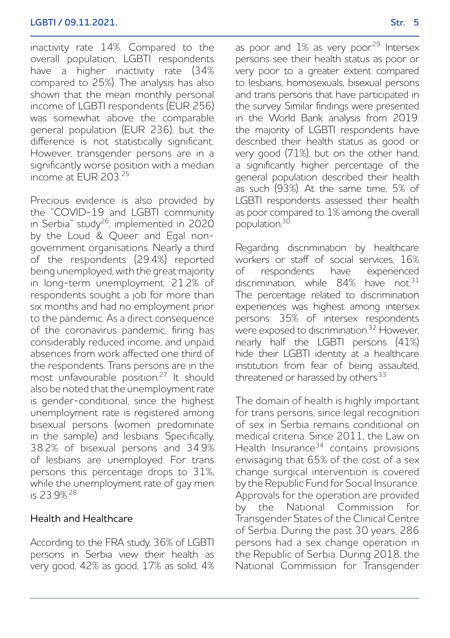inactivity rate 14%. Compared to the overall population, LGBTI respondents have a higher inactivity rate (34% compared to 25%). The analysis has also shown that the mean monthly personal income of LGBTI respondents (FUR 256) was somewhat above the comparable general population (EUR 236), but the difference is not statistically significant. However, transgender persons are in a significantly worse position with a median income at EUR 203<sup>25</sup>

Precious evidence is also provided by the "COVID-19 and LGBTI community in Serbia" study<sup>26</sup>, implemented in 2020 by the Loud & Oueer and Egal nongovernment organisations. Nearly a third of the respondents (29.4%) reported being unemployed, with the great majority in long-term unemployment: 21.2% of respondents sought a job for more than six months and had no employment prior to the pandemic. As a direct consequence of the coronavirus pandemic, firing has considerably reduced income, and unpaid absences from work affected one third of the respondents. Trans persons are in the most unfavourable position.27 It should also be noted that the unemployment rate is gender-conditional, since the highest unemployment rate is registered among bisexual persons (women predominate in the sample) and lesbians. Specifically, 38.2% of bisexual persons and 34.9% of lesbians are unemployed. For trans persons this percentage drops to 31%, while the unemployment rate of gay men is 23.9%.28

#### Health and Healthcare

According to the FRA study, 36% of LGBTI persons in Serbia view their health as very good, 42% as good, 17% as solid, 4% as poor and  $1\%$  as very poor.<sup>29</sup> Intersex persons see their health status as poor or very poor to a greater extent compared to lesbians, homosexuals, bisexual persons and trans persons that have participated in the survey. Similar findings were presented in the World Bank analysis from 2019: the majority of LGBTI respondents have described their health status as good or very good (71%), but on the other hand, a significantly higher percentage of the general population described their health as such (93%). At the same time, 5% of LGBTI respondents assessed their health

Regarding discrimination by healthcare workers or staff of social services, 16% of respondents have experienced discrimination, while 84% have not.<sup>31</sup> The percentage related to discrimination experiences was highest among intersex persons: 35% of intersex respondents were exposed to discrimination.<sup>32</sup> However, nearly half the LGBTI persons (41%) hide their LGBTI identity at a healthcare institution from fear of being assaulted, threatened or harassed by others<sup>33</sup>

as poor compared to 1% among the overall

population.<sup>30</sup>

The domain of health is highly important for trans persons, since legal recognition of sex in Serbia remains conditional on medical criteria. Since 2011, the Law on Health Insurance<sup>34</sup> contains provisions envisaging that 65% of the cost of a sex change surgical intervention is covered by the Republic Fund for Social Insurance. Approvals for the operation are provided by the National Commission for Transgender States of the Clinical Centre of Serbia. During the past 30 years, 286 persons had a sex change operation in the Republic of Serbia. During 2018, the National Commission for Transgender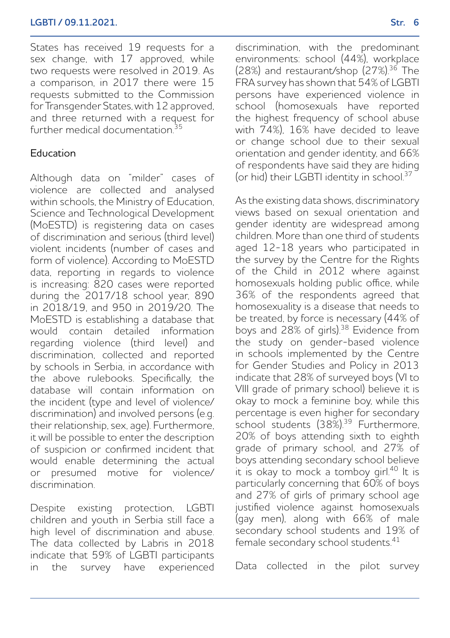#### **LGBTI / 09.11.2021. Str. 6**

States has received 19 requests for a sex change, with 17 approved, while two requests were resolved in 2019. As a comparison, in 2017 there were 15 requests submitted to the Commission for Transgender States, with 12 approved, and three returned with a request for further medical documentation<sup>35</sup>

#### Education

Although data on "milder" cases of violence are collected and analysed within schools, the Ministry of Education, Science and Technological Development (MoESTD) is registering data on cases of discrimination and serious (third level) violent incidents (number of cases and form of violence). According to MoESTD data, reporting in regards to violence is increasing: 820 cases were reported during the 2017/18 school year, 890 in 2018/19, and 950 in 2019/20. The MoESTD is establishing a database that would contain detailed information regarding violence (third level) and discrimination, collected and reported by schools in Serbia, in accordance with the above rulebooks. Specifically, the database will contain information on the incident (type and level of violence/ discrimination) and involved persons (e.g. their relationship, sex, age). Furthermore, it will be possible to enter the description of suspicion or confirmed incident that would enable determining the actual or presumed motive for violence/ discrimination.

Despite existing protection, LGBTI children and youth in Serbia still face a high level of discrimination and abuse. The data collected by Labris in 2018 indicate that 59% of LGBTI participants in the survey have experienced discrimination, with the predominant environments: school (44%), workplace (28%) and restaurant/shop (27%).36 The FRA survey has shown that 54% of LGBTI persons have experienced violence in school (homosexuals have reported the highest frequency of school abuse with 74%), 16% have decided to leave or change school due to their sexual orientation and gender identity, and 66% of respondents have said they are hiding (or hid) their LGBTI identity in school<sup>37</sup>

As the existing data shows, discriminatory views based on sexual orientation and gender identity are widespread among children. More than one third of students aged 12-18 years who participated in the survey by the Centre for the Rights of the Child in 2012 where against homosexuals holding public office, while 36% of the respondents agreed that homosexuality is a disease that needs to be treated, by force is necessary (44% of boys and 28% of girls).38 Evidence from the study on gender-based violence in schools implemented by the Centre for Gender Studies and Policy in 2013 indicate that 28% of surveyed boys (VI to VIII grade of primary school) believe it is okay to mock a feminine boy, while this percentage is even higher for secondary school students (38%).<sup>39</sup> Furthermore, 20% of boys attending sixth to eighth grade of primary school, and 27% of boys attending secondary school believe it is okay to mock a tomboy girl.40 It is particularly concerning that 60% of boys and 27% of girls of primary school age justified violence against homosexuals (gay men), along with 66% of male secondary school students and 19% of female secondary school students.<sup>41</sup>

Data collected in the pilot survey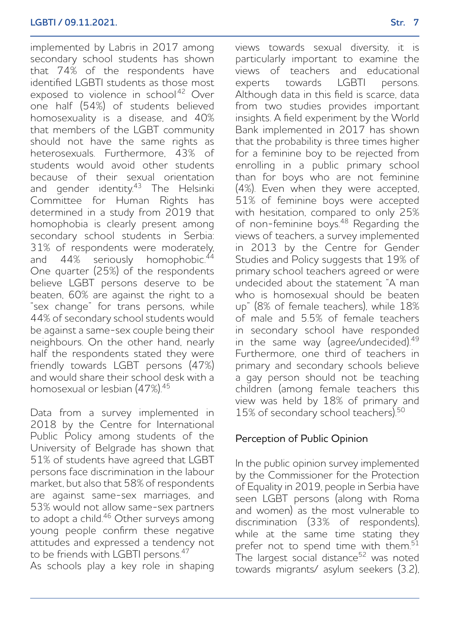implemented by Labris in 2017 among secondary school students has shown that 74% of the respondents have identified LGBTI students as those most exposed to violence in school<sup>42</sup> Over one half (54%) of students believed homosexuality is a disease, and 40% that members of the LGBT community should not have the same rights as heterosexuals. Furthermore, 43% of students would avoid other students because of their sexual orientation and gender identity.<sup>43</sup> The Helsinki Committee for Human Rights has determined in a study from 2019 that homophobia is clearly present among secondary school students in Serbia: 31% of respondents were moderately,<br>and  $44\%$  seriously homophobic.<sup>44</sup> seriously homophobic.<sup>44</sup> One quarter (25%) of the respondents believe LGBT persons deserve to be beaten, 60% are against the right to a "sex change" for trans persons, while 44% of secondary school students would be against a same-sex couple being their neighbours. On the other hand, nearly half the respondents stated they were friendly towards LGBT persons (47%) and would share their school desk with a homosexual or lesbian (47%).<sup>45</sup>

Data from a survey implemented in 2018 by the Centre for International Public Policy among students of the University of Belgrade has shown that 51% of students have agreed that LGBT persons face discrimination in the labour market, but also that 58% of respondents are against same-sex marriages, and 53% would not allow same-sex partners to adopt a child.46 Other surveys among young people confirm these negative attitudes and expressed a tendency not to be friends with LGBTI persons.<sup>47</sup>

As schools play a key role in shaping

views towards sexual diversity, it is particularly important to examine the views of teachers and educational experts towards LGBTI persons. Although data in this field is scarce, data from two studies provides important insights. A field experiment by the World Bank implemented in 2017 has shown that the probability is three times higher for a feminine boy to be rejected from enrolling in a public primary school than for boys who are not feminine (4%). Even when they were accepted, 51% of feminine boys were accepted with hesitation, compared to only 25% of non-feminine boys.48 Regarding the views of teachers, a survey implemented in 2013 by the Centre for Gender Studies and Policy suggests that 19% of primary school teachers agreed or were undecided about the statement "A man who is homosexual should be beaten up" (8% of female teachers), while 18% of male and 5.5% of female teachers in secondary school have responded in the same way (agree/undecided).<sup>49</sup> Furthermore, one third of teachers in primary and secondary schools believe a gay person should not be teaching children (among female teachers this view was held by 18% of primary and 15% of secondary school teachers).<sup>50</sup>

### Perception of Public Opinion

In the public opinion survey implemented by the Commissioner for the Protection of Equality in 2019, people in Serbia have seen LGBT persons (along with Roma and women) as the most vulnerable to discrimination (33% of respondents), while at the same time stating they prefer not to spend time with them. $51$ The largest social distance<sup>52</sup> was noted towards migrants/ asylum seekers (3.2),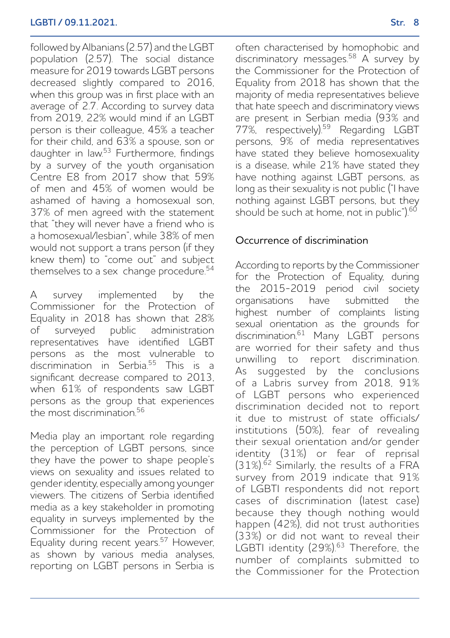followed by Albanians (2.57) and the LGBT population (2.57). The social distance measure for 2019 towards LGBT persons decreased slightly compared to 2016, when this group was in first place with an average of 2.7. According to survey data from 2019, 22% would mind if an LGBT person is their colleague, 45% a teacher for their child, and 63% a spouse, son or daughter in law.<sup>53</sup> Furthermore, findings by a survey of the youth organisation Centre E8 from 2017 show that 59% of men and 45% of women would be ashamed of having a homosexual son, 37% of men agreed with the statement that "they will never have a friend who is a homosexual/lesbian", while 38% of men would not support a trans person (if they knew them) to "come out" and subject themselves to a sex change procedure.<sup>54</sup>

A survey implemented by the Commissioner for the Protection of Equality in 2018 has shown that 28% of surveyed public administration representatives have identified LGBT persons as the most vulnerable to discrimination in Serbia.<sup>55</sup> This is a significant decrease compared to 2013, when 61% of respondents saw LGBT persons as the group that experiences the most discrimination.<sup>56</sup>

Media play an important role regarding the perception of LGBT persons, since they have the power to shape people's views on sexuality and issues related to gender identity, especially among younger viewers. The citizens of Serbia identified media as a key stakeholder in promoting equality in surveys implemented by the Commissioner for the Protection of Equality during recent years.<sup>57</sup> However, as shown by various media analyses, reporting on LGBT persons in Serbia is often characterised by homophobic and discriminatory messages.58 A survey by the Commissioner for the Protection of Equality from 2018 has shown that the majority of media representatives believe that hate speech and discriminatory views are present in Serbian media (93% and 77%, respectively).<sup>59</sup> Regarding LGBT persons, 9% of media representatives have stated they believe homosexuality is a disease, while 21% have stated they have nothing against LGBT persons, as long as their sexuality is not public ("I have nothing against LGBT persons, but they should be such at home, not in public" $160$ .

### Occurrence of discrimination

According to reports by the Commissioner for the Protection of Equality, during the 2015-2019 period civil society organisations have submitted the highest number of complaints listing sexual orientation as the grounds for discrimination.<sup>61</sup> Many LGBT persons are worried for their safety and thus unwilling to report discrimination. As suggested by the conclusions of a Labris survey from 2018, 91% of LGBT persons who experienced discrimination decided not to report it due to mistrust of state officials/ institutions (50%), fear of revealing their sexual orientation and/or gender identity (31%) or fear of reprisal (31%).<sup>62</sup> Similarly, the results of a FRA survey from 2019 indicate that 91% of LGBTI respondents did not report cases of discrimination (latest case) because they though nothing would happen (42%), did not trust authorities (33%) or did not want to reveal their LGBTI identity (29%).<sup>63</sup> Therefore, the number of complaints submitted to the Commissioner for the Protection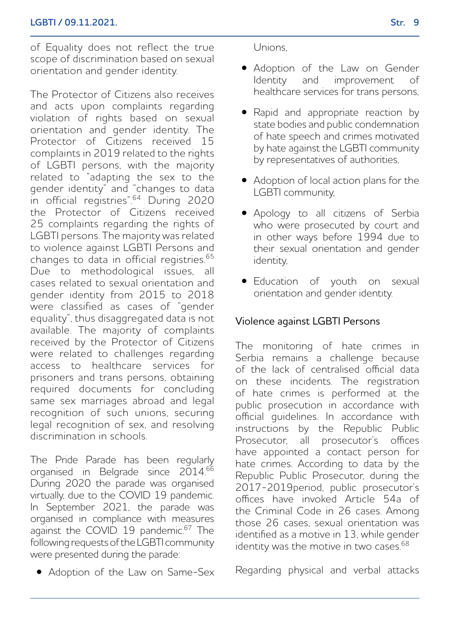of Equality does not reflect the true scope of discrimination based on sexual orientation and gender identity.

The Protector of Citizens also receives and acts upon complaints regarding violation of rights based on sexual orientation and gender identity. The Protector of Citizens received 15 complaints in 2019 related to the rights of LGBTI persons, with the majority related to "adapting the sex to the gender identity" and "changes to data in official registries".64 During 2020 the Protector of Citizens received 25 complaints regarding the rights of LGBTI persons. The majority was related to violence against LGBTI Persons and changes to data in official registries.65 Due to methodological issues, all cases related to sexual orientation and gender identity from 2015 to 2018 were classified as cases of "gender equality", thus disaggregated data is not available. The majority of complaints received by the Protector of Citizens were related to challenges regarding access to healthcare services for prisoners and trans persons, obtaining required documents for concluding same sex marriages abroad and legal recognition of such unions, securing legal recognition of sex, and resolving discrimination in schools.

The Pride Parade has been regularly organised in Belgrade since 2014.<sup>66</sup> During 2020 the parade was organised virtually, due to the COVID 19 pandemic. In September 2021, the parade was organised in compliance with measures against the COVID 19 pandemic.<sup>67</sup> The following requests of the LGBTI community were presented during the parade:

• Adoption of the Law on Same-Sex

Unions,

- Adoption of the Law on Gender and improvement of healthcare services for trans persons,
- Rapid and appropriate reaction by state bodies and public condemnation of hate speech and crimes motivated by hate against the LGBTI community by representatives of authorities,
- Adoption of local action plans for the LGBTI community,
- Apology to all citizens of Serbia who were prosecuted by court and in other ways before 1994 due to their sexual orientation and gender identity,
- Education of youth on sexual orientation and gender identity.

## Violence against LGBTI Persons

The monitoring of hate crimes in Serbia remains a challenge because of the lack of centralised official data on these incidents. The registration of hate crimes is performed at the public prosecution in accordance with official guidelines. In accordance with instructions by the Republic Public Prosecutor, all prosecutor's offices have appointed a contact person for hate crimes. According to data by the Republic Public Prosecutor, during the 2017-2019period, public prosecutor's offices have invoked Article 54a of the Criminal Code in 26 cases. Among those 26 cases, sexual orientation was identified as a motive in 13, while gender identity was the motive in two cases.<sup>68</sup>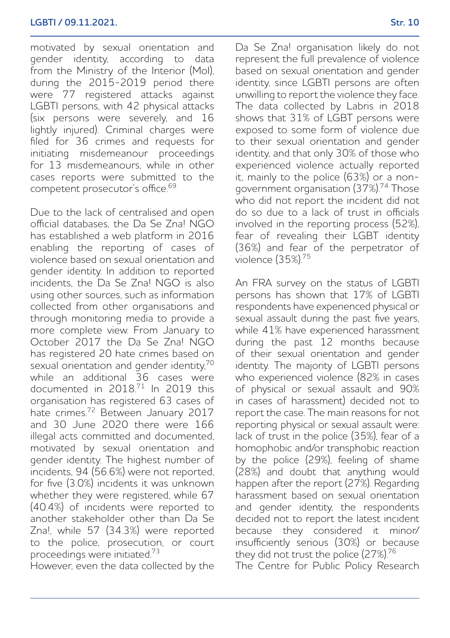#### **LGBTI / 09.11.2021. Str. 10**

motivated by sexual orientation and gender identity, according to data from the Ministry of the Interior (MoI), during the 2015-2019 period there were 77 registered attacks against LGBTI persons, with 42 physical attacks (six persons were severely, and 16 lightly injured). Criminal charges were filed for 36 crimes and requests for initiating misdemeanour proceedings for 13 misdemeanours, while in other cases reports were submitted to the competent prosecutor's office.<sup>69</sup>

Due to the lack of centralised and open official databases, the Da Se Zna! NGO has established a web platform in 2016 enabling the reporting of cases of violence based on sexual orientation and gender identity. In addition to reported incidents, the Da Se Zna! NGO is also using other sources, such as information collected from other organisations and through monitoring media to provide a more complete view. From January to October 2017 the Da Se Zna! NGO has registered 20 hate crimes based on sexual orientation and gender identity,<sup>70</sup> while an additional 36 cases were documented in 2018.<sup>71</sup> In 2019 this organisation has registered 63 cases of hate crimes.72 Between January 2017 and 30 June 2020 there were 166 illegal acts committed and documented motivated by sexual orientation and gender identity. The highest number of incidents, 94 (56.6%) were not reported, for five (3.0%) incidents it was unknown whether they were registered, while 67 (40.4%) of incidents were reported to another stakeholder other than Da Se Zna!, while 57 (34.3%) were reported to the police, prosecution, or court proceedings were initiated.<sup>73</sup>

However, even the data collected by the

Da Se Zna! organisation likely do not represent the full prevalence of violence based on sexual orientation and gender identity, since LGBTI persons are often unwilling to report the violence they face. The data collected by Labris in 2018 shows that 31% of LGBT persons were exposed to some form of violence due to their sexual orientation and gender identity, and that only 30% of those who experienced violence actually reported it, mainly to the police (63%) or a nongovernment organisation (37%).74 Those who did not report the incident did not do so due to a lack of trust in officials involved in the reporting process (52%), fear of revealing their LGBT identity (36%) and fear of the perpetrator of violence (35%).<sup>75</sup>

An FRA survey on the status of LGBTI persons has shown that 17% of LGBTI respondents have experienced physical or sexual assault during the past five years, while 41% have experienced harassment during the past 12 months because of their sexual orientation and gender identity. The majority of LGBTI persons who experienced violence (82% in cases of physical or sexual assault and 90% in cases of harassment) decided not to report the case. The main reasons for not reporting physical or sexual assault were: lack of trust in the police (35%), fear of a homophobic and/or transphobic reaction by the police (29%), feeling of shame (28%) and doubt that anything would happen after the report (27%). Regarding harassment based on sexual orientation and gender identity, the respondents decided not to report the latest incident because they considered it minor/ insufficiently serious (30%) or because they did not trust the police (27%).<sup>76</sup>

The Centre for Public Policy Research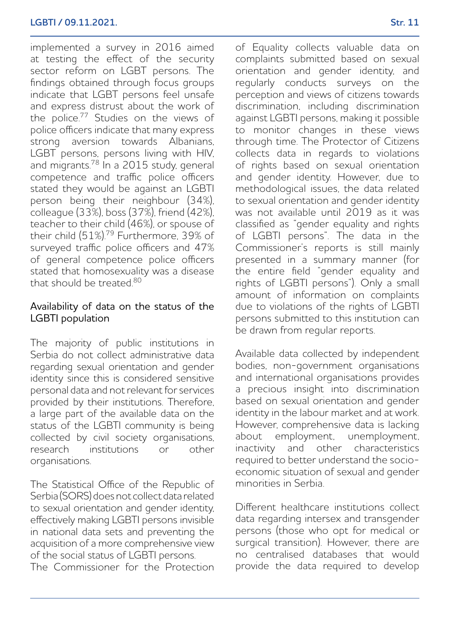implemented a survey in 2016 aimed at testing the effect of the security sector reform on LGBT persons. The findings obtained through focus groups indicate that LGBT persons feel unsafe and express distrust about the work of the police.77 Studies on the views of police officers indicate that many express strong aversion towards Albanians LGBT persons, persons living with HIV, and migrants.78 In a 2015 study, general competence and traffic police officers stated they would be against an LGBTI person being their neighbour (34%), colleague (33%), boss (37%), friend (42%), teacher to their child (46%), or spouse of their child (51%).<sup>79</sup> Furthermore, 39% of surveyed traffic police officers and 47% of general competence police officers stated that homosexuality was a disease that should be treated.<sup>80</sup>

#### Availability of data on the status of the LGBTI population

The majority of public institutions in Serbia do not collect administrative data regarding sexual orientation and gender identity since this is considered sensitive personal data and not relevant for services provided by their institutions. Therefore, a large part of the available data on the status of the LGBTI community is being collected by civil society organisations,<br>research institutions or other institutions or other organisations.

The Statistical Office of the Republic of Serbia (SORS) does not collect data related to sexual orientation and gender identity, effectively making LGBTI persons invisible in national data sets and preventing the acquisition of a more comprehensive view of the social status of LGBTI persons. The Commissioner for the Protection of Equality collects valuable data on complaints submitted based on sexual orientation and gender identity, and regularly conducts surveys on the perception and views of citizens towards discrimination, including discrimination against LGBTI persons, making it possible to monitor changes in these views through time. The Protector of Citizens collects data in regards to violations of rights based on sexual orientation and gender identity. However, due to methodological issues, the data related to sexual orientation and gender identity was not available until 2019 as it was classified as "gender equality and rights of LGBTI persons". The data in the Commissioner's reports is still mainly presented in a summary manner (for the entire field "gender equality and rights of LGBTI persons"). Only a small amount of information on complaints due to violations of the rights of LGBTI persons submitted to this institution can be drawn from regular reports.

Available data collected by independent bodies, non-government organisations and international organisations provides a precious insight into discrimination based on sexual orientation and gender identity in the labour market and at work. However, comprehensive data is lacking about employment, unemployment, inactivity and other characteristics required to better understand the socioeconomic situation of sexual and gender minorities in Serbia.

Different healthcare institutions collect data regarding intersex and transgender persons (those who opt for medical or surgical transition). However, there are no centralised databases that would provide the data required to develop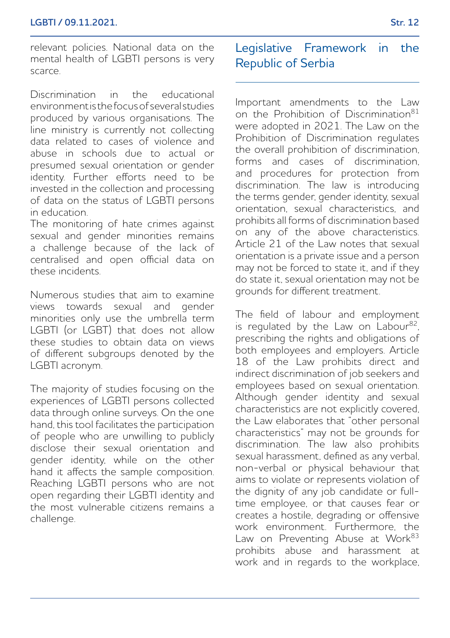relevant policies. National data on the mental health of LGBTI persons is very scarce.

Discrimination in the educational environment is the focus of several studies produced by various organisations. The line ministry is currently not collecting data related to cases of violence and abuse in schools due to actual or presumed sexual orientation or gender identity. Further efforts need to be invested in the collection and processing of data on the status of LGBTI persons in education.

The monitoring of hate crimes against sexual and gender minorities remains a challenge because of the lack of centralised and open official data on these incidents.

Numerous studies that aim to examine views towards sexual and gender minorities only use the umbrella term LGBTI (or LGBT) that does not allow these studies to obtain data on views of different subgroups denoted by the LGBTI acronym.

The majority of studies focusing on the experiences of LGBTI persons collected data through online surveys. On the one hand, this tool facilitates the participation of people who are unwilling to publicly disclose their sexual orientation and gender identity, while on the other hand it affects the sample composition. Reaching LGBTI persons who are not open regarding their LGBTI identity and the most vulnerable citizens remains a challenge.

## Legislative Framework in the Republic of Serbia

Important amendments to the Law on the Prohibition of Discrimination<sup>81</sup> were adopted in 2021. The Law on the Prohibition of Discrimination regulates the overall prohibition of discrimination, forms and cases of discrimination, and procedures for protection from discrimination. The law is introducing the terms gender, gender identity, sexual orientation, sexual characteristics, and prohibits all forms of discrimination based on any of the above characteristics. Article 21 of the Law notes that sexual orientation is a private issue and a person may not be forced to state it, and if they do state it, sexual orientation may not be grounds for different treatment.

The field of labour and employment is regulated by the Law on Labour $82$ , prescribing the rights and obligations of both employees and employers. Article 18 of the Law prohibits direct and indirect discrimination of job seekers and employees based on sexual orientation. Although gender identity and sexual characteristics are not explicitly covered, the Law elaborates that "other personal characteristics" may not be grounds for discrimination. The law also prohibits sexual harassment, defined as any verbal, non-verbal or physical behaviour that aims to violate or represents violation of the dignity of any job candidate or fulltime employee, or that causes fear or creates a hostile, degrading or offensive work environment. Furthermore, the Law on Preventing Abuse at Work<sup>83</sup> prohibits abuse and harassment at work and in regards to the workplace,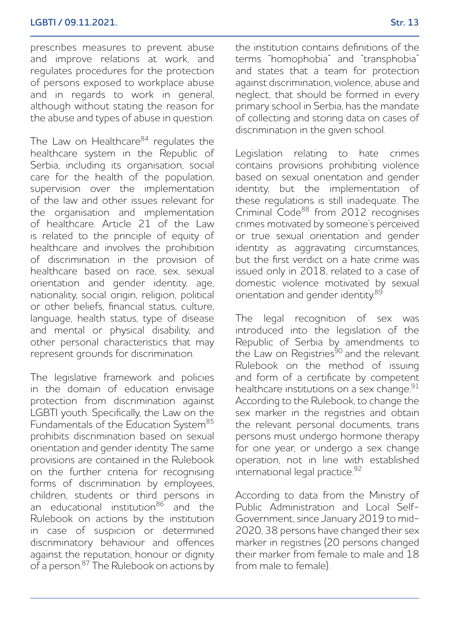prescribes measures to prevent abuse and improve relations at work, and regulates procedures for the protection of persons exposed to workplace abuse and in regards to work in general, although without stating the reason for the abuse and types of abuse in question.

The Law on Healthcare<sup>84</sup> regulates the healthcare system in the Republic of Serbia, including its organisation, social care for the health of the population, supervision over the implementation of the law and other issues relevant for the organisation and implementation of healthcare. Article 21 of the Law is related to the principle of equity of healthcare and involves the prohibition of discrimination in the provision of healthcare based on race, sex, sexual orientation and gender identity, age, nationality, social origin, religion, political or other beliefs, financial status, culture, language, health status, type of disease and mental or physical disability, and other personal characteristics that may represent grounds for discrimination.

The legislative framework and policies in the domain of education envisage protection from discrimination against LGBTI youth. Specifically, the Law on the Fundamentals of the Education System<sup>85</sup> prohibits discrimination based on sexual orientation and gender identity. The same provisions are contained in the Rulebook on the further criteria for recognising forms of discrimination by employees, children, students or third persons in an educational institution<sup>86</sup> and the Rulebook on actions by the institution in case of suspicion or determined discriminatory behaviour and offences against the reputation, honour or dignity of a person.87 The Rulebook on actions by the institution contains definitions of the terms "homophobia" and "transphobia" and states that a team for protection against discrimination, violence, abuse and neglect, that should be formed in every primary school in Serbia, has the mandate of collecting and storing data on cases of discrimination in the given school.

Legislation relating to hate crimes contains provisions prohibiting violence based on sexual orientation and gender identity, but the implementation of these regulations is still inadequate. The Criminal Code<sup>88</sup> from 2012 recognises crimes motivated by someone's perceived or true sexual orientation and gender identity as aggravating circumstances, but the first verdict on a hate crime was issued only in 2018, related to a case of domestic violence motivated by sexual orientation and gender identity.<sup>89</sup>

The legal recognition of sex was introduced into the legislation of the Republic of Serbia by amendments to the Law on Registries<sup>90</sup> and the relevant Rulebook on the method of issuing and form of a certificate by competent healthcare institutions on a sex change.<sup>91</sup> According to the Rulebook, to change the sex marker in the registries and obtain the relevant personal documents, trans persons must undergo hormone therapy for one year, or undergo a sex change operation, not in line with established international legal practice.92

According to data from the Ministry of Public Administration and Local Self-Government, since January 2019 to mid-2020, 38 persons have changed their sex marker in registries (20 persons changed their marker from female to male and 18 from male to female).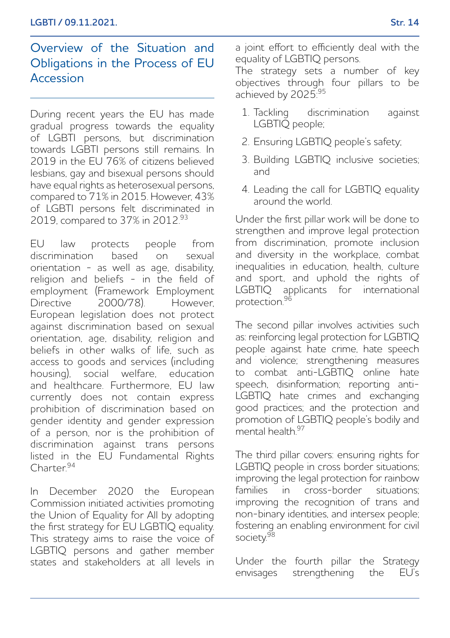## Overview of the Situation and Obligations in the Process of EU Accession

During recent years the EU has made gradual progress towards the equality of LGBTI persons, but discrimination towards LGBTI persons still remains. In 2019 in the EU 76% of citizens believed lesbians, gay and bisexual persons should have equal rights as heterosexual persons, compared to 71% in 2015. However, 43% of LGBTI persons felt discriminated in 2019, compared to 37% in 2012.<sup>93</sup>

EU law protects people from discrimination based on sexual orientation - as well as age, disability, religion and beliefs - in the field of employment (Framework Employment Directive 2000/78). However European legislation does not protect against discrimination based on sexual orientation, age, disability, religion and beliefs in other walks of life, such as access to goods and services (including housing), social welfare, education and healthcare. Furthermore, EU law currently does not contain express prohibition of discrimination based on gender identity and gender expression of a person, nor is the prohibition of discrimination against trans persons listed in the EU Fundamental Rights Charter.94

In December 2020 the European Commission initiated activities promoting the Union of Equality for All by adopting the first strategy for EU LGBTIQ equality. This strategy aims to raise the voice of LGBTIQ persons and gather member states and stakeholders at all levels in a joint effort to efficiently deal with the equality of LGBTIQ persons.

The strategy sets a number of key objectives through four pillars to be achieved by 2025<sup>.95</sup>

- 1. Tackling discrimination against LGBTIQ people;
- 2. Ensuring LGBTIQ people's safety;
- 3. Building LGBTIQ inclusive societies; and
- 4. Leading the call for LGBTIQ equality around the world.

Under the first pillar work will be done to strengthen and improve legal protection from discrimination, promote inclusion and diversity in the workplace, combat inequalities in education, health, culture and sport, and uphold the rights of LGBTIQ applicants for international protection.96

The second pillar involves activities such as: reinforcing legal protection for LGBTIQ people against hate crime, hate speech and violence; strengthening measures to combat anti-LGBTIQ online hate speech, disinformation; reporting anti-LGBTIQ hate crimes and exchanging good practices; and the protection and promotion of LGBTIQ people's bodily and mental health $^{97}$ 

The third pillar covers: ensuring rights for LGBTIQ people in cross border situations; improving the legal protection for rainbow families in cross-border situations; improving the recognition of trans and non-binary identities, and intersex people; fostering an enabling environment for civil society.98

Under the fourth pillar the Strategy envisages strengthening the EU's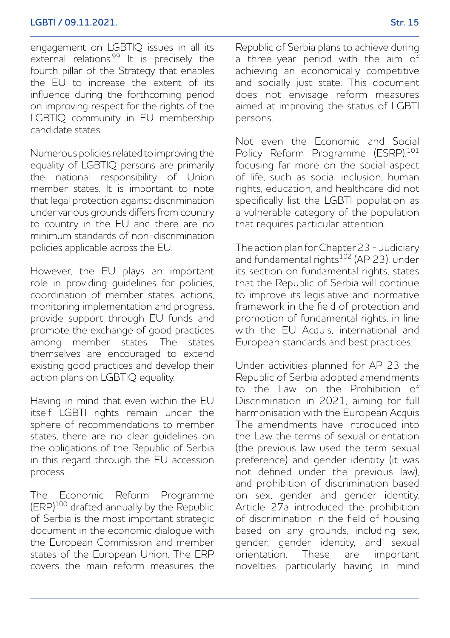engagement on LGBTIQ issues in all its external relations.<sup>99</sup> It is precisely the fourth pillar of the Strategy that enables the EU to increase the extent of its influence during the forthcoming period on improving respect for the rights of the LGBTIQ community in EU membership candidate states.

Numerous policies related to improving the equality of LGBTIQ persons are primarily the national responsibility of Union member states. It is important to note that legal protection against discrimination under various grounds differs from country to country in the EU and there are no minimum standards of non-discrimination policies applicable across the EU.

However, the EU plays an important role in providing guidelines for policies, coordination of member states' actions, monitoring implementation and progress, provide support through EU funds and promote the exchange of good practices among member states. The states themselves are encouraged to extend existing good practices and develop their action plans on LGBTIQ equality.

Having in mind that even within the EU itself LGBTI rights remain under the sphere of recommendations to member states, there are no clear guidelines on the obligations of the Republic of Serbia in this regard through the EU accession process.

The Economic Reform Programme (ERP)<sup>100</sup> drafted annually by the Republic of Serbia is the most important strategic document in the economic dialogue with the European Commission and member states of the European Union. The ERP covers the main reform measures the Republic of Serbia plans to achieve during a three-year period with the aim of achieving an economically competitive and socially just state. This document does not envisage reform measures aimed at improving the status of LGBTI persons.

Not even the Economic and Social Policy Reform Programme (ESRP).<sup>101</sup> focusing far more on the social aspect of life, such as social inclusion, human rights, education, and healthcare did not specifically list the LGBTI population as a vulnerable category of the population that requires particular attention.

The action plan for Chapter 23 - Judiciary and fundamental rights<sup>102</sup> (AP 23), under its section on fundamental rights, states that the Republic of Serbia will continue to improve its legislative and normative framework in the field of protection and promotion of fundamental rights, in line with the EU Acquis, international and European standards and best practices.

Under activities planned for AP 23 the Republic of Serbia adopted amendments to the Law on the Prohibition of Discrimination in 2021, aiming for full harmonisation with the European Acquis The amendments have introduced into the Law the terms of sexual orientation (the previous law used the term sexual preference) and gender identity (it was not defined under the previous law), and prohibition of discrimination based on sex, gender and gender identity. Article 27a introduced the prohibition of discrimination in the field of housing based on any grounds, including sex, gender, gender identity, and sexual orientation. These are important novelties, particularly having in mind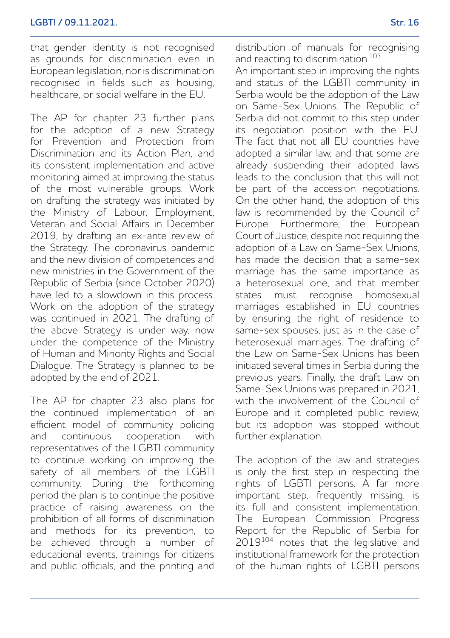that gender identity is not recognised as grounds for discrimination even in European legislation, nor is discrimination recognised in fields such as housing, healthcare, or social welfare in the EU.

The AP for chapter 23 further plans for the adoption of a new Strategy for Prevention and Protection from Discrimination and its Action Plan, and its consistent implementation and active monitoring aimed at improving the status of the most vulnerable groups. Work on drafting the strategy was initiated by the Ministry of Labour, Employment, Veteran and Social Affairs in December 2019, by drafting an ex-ante review of the Strategy. The coronavirus pandemic and the new division of competences and new ministries in the Government of the Republic of Serbia (since October 2020) have led to a slowdown in this process. Work on the adoption of the strategy was continued in 2021. The drafting of the above Strategy is under way, now under the competence of the Ministry of Human and Minority Rights and Social Dialogue. The Strategy is planned to be adopted by the end of 2021.

The AP for chapter 23 also plans for the continued implementation of an efficient model of community policing and continuous cooperation with representatives of the LGBTI community to continue working on improving the safety of all members of the LGBTI community. During the forthcoming period the plan is to continue the positive practice of raising awareness on the prohibition of all forms of discrimination and methods for its prevention, to be achieved through a number of educational events, trainings for citizens and public officials, and the printing and

An important step in improving the rights and status of the LGBTI community in Serbia would be the adoption of the Law on Same-Sex Unions. The Republic of Serbia did not commit to this step under its negotiation position with the EU. The fact that not all EU countries have adopted a similar law, and that some are already suspending their adopted laws leads to the conclusion that this will not be part of the accession negotiations. On the other hand, the adoption of this law is recommended by the Council of Europe. Furthermore, the European Court of Justice, despite not requiring the adoption of a Law on Same-Sex Unions, has made the decision that a same-sex marriage has the same importance as a heterosexual one, and that member states must recognise homosexual marriages established in EU countries by ensuring the right of residence to same-sex spouses, just as in the case of heterosexual marriages. The drafting of the Law on Same-Sex Unions has been initiated several times in Serbia during the previous years. Finally, the draft Law on Same-Sex Unions was prepared in 2021, with the involvement of the Council of Europe and it completed public review, but its adoption was stopped without further explanation.

The adoption of the law and strategies is only the first step in respecting the rights of LGBTI persons. A far more important step, frequently missing, is its full and consistent implementation. The European Commission Progress Report for the Republic of Serbia for 2019104 notes that the legislative and institutional framework for the protection of the human rights of LGBTI persons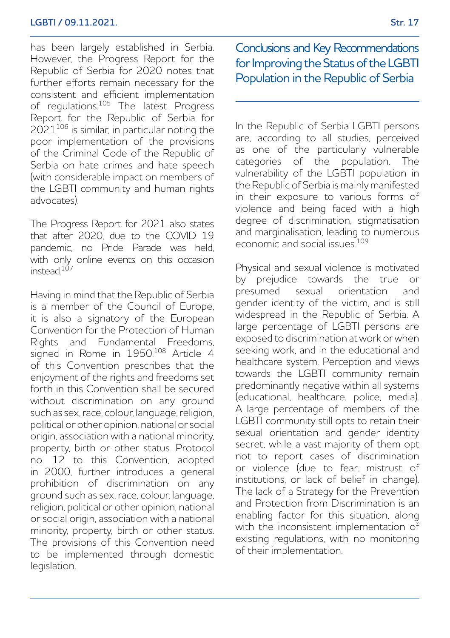has been largely established in Serbia. However, the Progress Report for the Republic of Serbia for 2020 notes that further efforts remain necessary for the consistent and efficient implementation of regulations.105 The latest Progress Report for the Republic of Serbia for 2021106 is similar, in particular noting the poor implementation of the provisions of the Criminal Code of the Republic of Serbia on hate crimes and hate speech (with considerable impact on members of the LGBTI community and human rights advocates).

The Progress Report for 2021 also states that after 2020, due to the COVID 19 pandemic, no Pride Parade was held, with only online events on this occasion instead.<sup>107</sup>

Having in mind that the Republic of Serbia is a member of the Council of Europe, it is also a signatory of the European Convention for the Protection of Human Rights and Fundamental Freedoms, signed in Rome in 1950.<sup>108</sup> Article 4 of this Convention prescribes that the enjoyment of the rights and freedoms set forth in this Convention shall be secured without discrimination on any ground such as sex, race, colour, language, religion, political or other opinion, national or social origin, association with a national minority, property, birth or other status. Protocol no. 12 to this Convention, adopted in 2000, further introduces a general prohibition of discrimination on any ground such as sex, race, colour, language, religion, political or other opinion, national or social origin, association with a national minority, property, birth or other status. The provisions of this Convention need to be implemented through domestic legislation.

Conclusions and Key Recommendations for Improving the Status of the LGBTI Population in the Republic of Serbia

In the Republic of Serbia LGBTI persons are, according to all studies, perceived as one of the particularly vulnerable categories of the population. The vulnerability of the LGBTI population in the Republic of Serbia is mainly manifested in their exposure to various forms of violence and being faced with a high degree of discrimination, stigmatisation and marginalisation, leading to numerous economic and social issues.<sup>109</sup>

Physical and sexual violence is motivated by prejudice towards the true or presumed sexual orientation and gender identity of the victim, and is still widespread in the Republic of Serbia. A large percentage of LGBTI persons are exposed to discrimination at work or when seeking work, and in the educational and healthcare system. Perception and views towards the LGBTI community remain predominantly negative within all systems (educational, healthcare, police, media). A large percentage of members of the LGBTI community still opts to retain their sexual orientation and gender identity secret, while a vast majority of them opt not to report cases of discrimination or violence (due to fear, mistrust of institutions, or lack of belief in change). The lack of a Strategy for the Prevention and Protection from Discrimination is an enabling factor for this situation, along with the inconsistent implementation of existing regulations, with no monitoring of their implementation.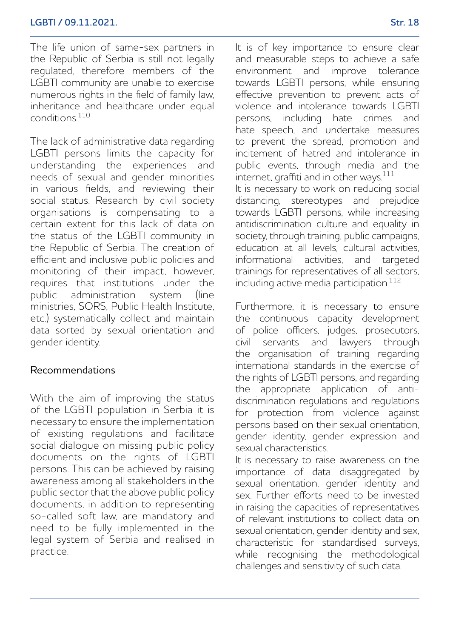The life union of same-sex partners in the Republic of Serbia is still not legally regulated, therefore members of the LGBTI community are unable to exercise numerous rights in the field of family law, inheritance and healthcare under equal conditions.110

The lack of administrative data regarding LGBTI persons limits the capacity for understanding the experiences and needs of sexual and gender minorities in various fields, and reviewing their social status. Research by civil society organisations is compensating to a certain extent for this lack of data on the status of the LGBTI community in the Republic of Serbia. The creation of efficient and inclusive public policies and monitoring of their impact, however, requires that institutions under the public administration system (line ministries, SORS, Public Health Institute etc.) systematically collect and maintain data sorted by sexual orientation and gender identity.

### Recommendations

With the aim of improving the status of the LGBTI population in Serbia it is necessary to ensure the implementation of existing regulations and facilitate social dialogue on missing public policy documents on the rights of LGBTI persons. This can be achieved by raising awareness among all stakeholders in the public sector that the above public policy documents, in addition to representing so-called soft law, are mandatory and need to be fully implemented in the legal system of Serbia and realised in practice.

It is of key importance to ensure clear and measurable steps to achieve a safe environment and improve tolerance towards LGBTI persons, while ensuring effective prevention to prevent acts of violence and intolerance towards LGBTI persons, including hate crimes and hate speech, and undertake measures to prevent the spread, promotion and incitement of hatred and intolerance in public events, through media and the internet, graffiti and in other ways. $111$ It is necessary to work on reducing social distancing, stereotypes and prejudice towards LGBTI persons, while increasing

antidiscrimination culture and equality in society, through training, public campaigns, education at all levels, cultural activities, informational activities, and targeted trainings for representatives of all sectors, including active media participation.112

Furthermore, it is necessary to ensure the continuous capacity development of police officers, judges, prosecutors, civil servants and lawyers through the organisation of training regarding international standards in the exercise of the rights of LGBTI persons, and regarding the appropriate application of antidiscrimination regulations and regulations for protection from violence against persons based on their sexual orientation, gender identity, gender expression and sexual characteristics.

It is necessary to raise awareness on the importance of data disaggregated by sexual orientation, gender identity and sex. Further efforts need to be invested in raising the capacities of representatives of relevant institutions to collect data on sexual orientation, gender identity and sex, characteristic for standardised surveys, while recognising the methodological challenges and sensitivity of such data.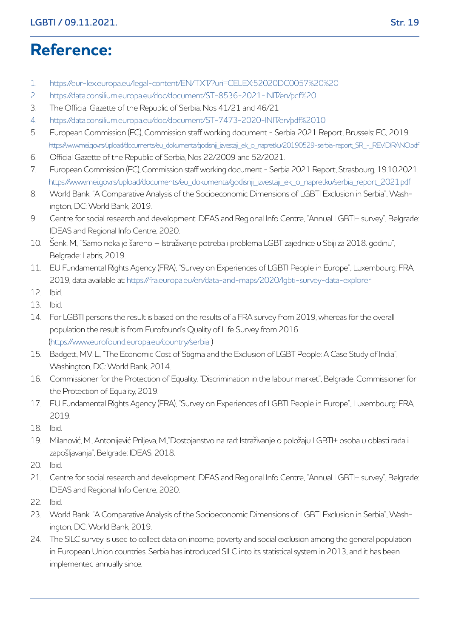# **Reference:**

- 1. https://eur-lex.europa.eu/legal-content/EN/TXT/?uri=CELEX:52020DC0057%20%20
- 2. https://data.consilium.europa.eu/doc/document/ST-8536-2021-INIT/en/pdf%20
- 3. The Official Gazette of the Republic of Serbia, Nos 41/21 and 46/21
- 4. https://data.consilium.europa.eu/doc/document/ST-7473-2020-INIT/en/pdf%2010
- 5. European Commission (EC), Commission staff working document Serbia 2021 Report, Brussels: EC, 2019. https://www.mei.gov.rs/upload/documents/eu\_dokumenta/godisnji\_izvestaji\_ek\_o\_napretku/20190529-serbia-report\_SR\_-\_REVIDIRANO.pdf
- 6. Official Gazette of the Republic of Serbia, Nos 22/2009 and 52/2021.
- 7. European Commission (EC), Commission staff working document Serbia 2021 Report, Strasbourg, 19.10.2021. https://www.mei.gov.rs/upload/documents/eu\_dokumenta/godisnji\_izvestaji\_ek\_o\_napretku/serbia\_report\_2021.pdf
- 8. World Bank, "A Comparative Analysis of the Socioeconomic Dimensions of LGBTI Exclusion in Serbia", Washington, DC: World Bank, 2019.
- 9. Centre for social research and development IDEAS and Regional Info Centre, "Annual LGBTI+ survey", Belgrade: IDEAS and Regional Info Centre, 2020.
- 10. Šenk, M., "Samo neka je šareno Istraživanje potreba i problema LGBT zajednice u Sbiji za 2018. godinu", Belgrade: Labris, 2019.
- 11. EU Fundamental Rights Agency (FRA), "Survey on Experiences of LGBTI People in Europe", Luxembourg: FRA, 2019, data available at: https://fra.europa.eu/en/data-and-maps/2020/lgbti-survey-data-explorer
- 12. Ibid.
- 13. Ibid.
- 14. For LGBTI persons the result is based on the results of a FRA survey from 2019, whereas for the overall population the result is from Eurofound's Quality of Life Survey from 2016 (https://www.eurofound.europa.eu/country/serbia )
- 15. Badgett, M.V. L., "The Economic Cost of Stigma and the Exclusion of LGBT People: A Case Study of India", Washington, DC: World Bank, 2014.
- 16. Commissioner for the Protection of Equality, "Discrimination in the labour market", Belgrade: Commissioner for the Protection of Equality, 2019.
- 17. EU Fundamental Rights Agency (FRA), "Survey on Experiences of LGBTI People in Europe", Luxembourg: FRA, 2019.
- 18. Ibid.
- 19. Milanović, M., Antonijević Priljeva, M.,"Dostojanstvo na rad: Istraživanje o položaju LGBTI+ osoba u oblasti rada i zapošljavanja", Belgrade: IDEAS, 2018.
- 20. Ibid.
- 21. Centre for social research and development IDEAS and Regional Info Centre, "Annual LGBTI+ survey", Belgrade: IDEAS and Regional Info Centre, 2020.
- 22. Ibid.
- 23. World Bank, "A Comparative Analysis of the Socioeconomic Dimensions of LGBTI Exclusion in Serbia", Washington, DC: World Bank, 2019.
- 24. The SILC survey is used to collect data on income, poverty and social exclusion among the general population in European Union countries. Serbia has introduced SILC into its statistical system in 2013, and it has been implemented annually since.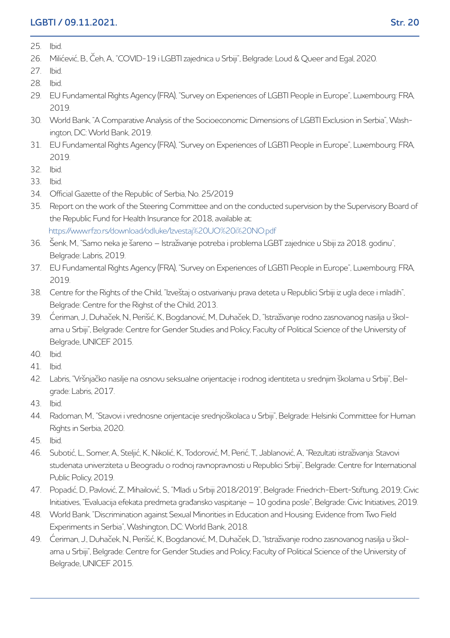#### **LGBTI / 09.11.2021. Str. 20**

- 25. Ibid.
- 26. Milićević, B., Čeh, A., "COVID-19 i LGBTI zajednica u Srbiji", Belgrade: Loud & Queer and Egal, 2020.
- 27. Ibid.
- 28. Ibid.
- 29. EU Fundamental Rights Agency (FRA), "Survey on Experiences of LGBTI People in Europe", Luxembourg: FRA, 2019.
- 30. World Bank, "A Comparative Analysis of the Socioeconomic Dimensions of LGBTI Exclusion in Serbia", Washington, DC: World Bank, 2019.
- 31. EU Fundamental Rights Agency (FRA), "Survey on Experiences of LGBTI People in Europe", Luxembourg: FRA, 2019.
- 32. Ibid.
- 33. Ibid.
- 34. Official Gazette of the Republic of Serbia, No. 25/2019
- 35. Report on the work of the Steering Committee and on the conducted supervision by the Supervisory Board of the Republic Fund for Health Insurance for 2018, available at: https://www.rfzo.rs/download/odluke/Izvestaj%20UO%20i%20NO.pdf
- 36. Šenk, M., "Samo neka je šareno Istraživanje potreba i problema LGBT zajednice u Sbiji za 2018. godinu", Belgrade: Labris, 2019.
- 37. EU Fundamental Rights Agency (FRA), "Survey on Experiences of LGBTI People in Europe", Luxembourg: FRA, 2019.
- 38. Centre for the Rights of the Child, "Izveštaj o ostvarivanju prava deteta u Republici Srbiji iz ugla dece i mladih", Belgrade: Centre for the Righst of the Child, 2013.
- 39. Ćeriman, J., Duhaček, N., Perišić, K., Bogdanović, M., Duhaček, D., "Istraživanje rodno zasnovanog nasilja u školama u Srbiji", Belgrade: Centre for Gender Studies and Policy; Faculty of Political Science of the University of Belgrade, UNICEF 2015.
- $40$  lhid.
- 41. Ibid.
- 42. Labris, "Vršnjačko nasilje na osnovu seksualne orijentacije i rodnog identiteta u srednjim školama u Srbiji", Belgrade: Labris, 2017.
- 43. Ibid.
- 44. Radoman, M., "Stavovi i vrednosne orijentacije srednjoškolaca u Srbiji", Belgrade: Helsinki Committee for Human Rights in Serbia, 2020.
- 45. Ibid.
- 46. Subotić, L., Somer, A., Steljić, K., Nikolić, K., Todorović, M., Perić, T., Jablanović, A., "Rezultati istraživanja: Stavovi studenata univerziteta u Beogradu o rodnoj ravnopravnosti u Republici Srbiji", Belgrade: Centre for International Public Policy, 2019.
- 47. Popadić, D., Pavlović, Z., Mihailović, S., "Mladi u Srbiji 2018/2019", Belgrade: Friedrich-Ebert-Stiftung, 2019; Civic Initiatives, "Evaluacija efekata predmeta građansko vaspitanje – 10 godina posle", Belgrade: Civic Initiatives, 2019.
- 48. World Bank, "Discrimination against Sexual Minorities in Education and Housing: Evidence from Two Field Experiments in Serbia", Washington, DC: World Bank, 2018.
- 49. Ćeriman, J., Duhaček, N., Perišić, K., Bogdanović, M., Duhaček, D., "Istraživanje rodno zasnovanog nasilja u školama u Srbiji", Belgrade: Centre for Gender Studies and Policy; Faculty of Political Science of the University of Belgrade, UNICEF 2015.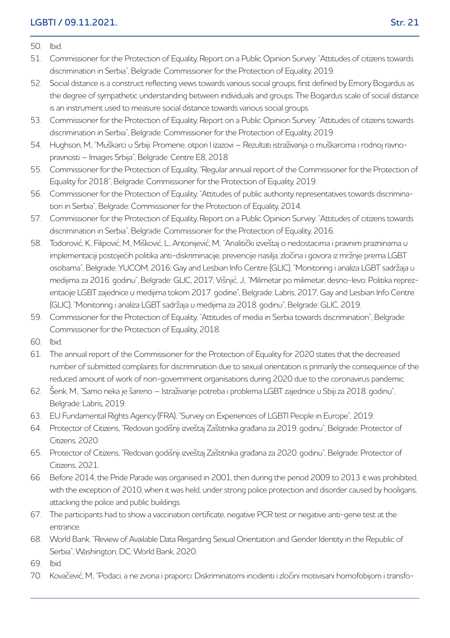#### 50. Ibid.

- 51. Commissioner for the Protection of Equality, Report on a Public Opinion Survey: "Attitudes of citizens towards discrimination in Serbia", Belgrade: Commissioner for the Protection of Equality, 2019.
- 52. Social distance is a construct reflecting views towards various social groups, first defined by Emory Bogardus as the degree of sympathetic understanding between individuals and groups. The Bogardus scale of social distance is an instrument used to measure social distance towards various social groups.
- 53. Commissioner for the Protection of Equality, Report on a Public Opinion Survey: "Attitudes of citizens towards discrimination in Serbia", Belgrade: Commissioner for the Protection of Equality, 2019.
- 54. Hughson, M., "Muškarci u Srbiji: Promene, otpori I izazovi Rezultati istraživanja o muškarcima i rodnoj ravnopravnosti – Images Srbija", Belgrade: Centre E8, 2018
- 55. Commissioner for the Protection of Equality, "Regular annual report of the Commissioner for the Protection of Equality for 2018", Belgrade: Commissioner for the Protection of Equality, 2019.
- 56. Commissioner for the Protection of Equality, "Attitudes of public authority representatives towards discrimination in Serbia", Belgrade: Commissioner for the Protection of Equality, 2014.
- 57. Commissioner for the Protection of Equality, Report on a Public Opinion Survey: "Attitudes of citizens towards discrimination in Serbia", Belgrade: Commissioner for the Protection of Equality, 2016.
- 58. Todorović, K., Filipović, M., Mišković, L., Antonijević, M., "Analitički izveštaj o nedostacima i pravnim prazninama u implementaciji postojećih politika anti-diskriminacije, prevencije nasilja, zločina i govora iz mržnje prema LGBT osobama", Belgrade: YUCOM, 2016; Gay and Lesbian Info Centre (GLIC), "Monitoring i analiza LGBT sadržaja u medijima za 2016. godinu", Belgrade: GLIC, 2017; Višnjić, J., "Milimetar po milimetar, desno-levo: Politika reprezentacije LGBT zajednice u medijima tokom 2017. godine", Belgrade: Labris, 2017; Gay and Lesbian Info Centre (GLIC), "Monitoring i analiza LGBT sadržaja u medijima za 2018. godinu", Belgrade: GLIC, 2019.
- 59. Commissioner for the Protection of Equality, "Attitudes of media in Serbia towards discrimination", Belgrade: Commissioner for the Protection of Equality, 2018.
- 60. Ibid.
- 61. The annual report of the Commissioner for the Protection of Equality for 2020 states that the decreased number of submitted complaints for discrimination due to sexual orientation is primarily the consequence of the reduced amount of work of non-government organisations during 2020 due to the coronavirus pandemic.
- 62. Šenk, M., "Samo neka je šareno Istraživanje potreba i problema LGBT zajednice u Sbiji za 2018. godinu", Belgrade: Labris, 2019.
- 63. EU Fundamental Rights Agency (FRA), "Survey on Experiences of LGBTI People in Europe", 2019.
- 64. Protector of Citizens, "Redovan godišnji izveštaj Zaštitnika građana za 2019. godinu", Belgrade: Protector of Citizens, 2020.
- 65. Protector of Citizens, "Redovan godišnji izveštaj Zaštitnika građana za 2020. godinu", Belgrade: Protector of Citizens, 2021.
- 66. Before 2014, the Pride Parade was organised in 2001, then during the period 2009 to 2013 it was prohibited, with the exception of 2010, when it was held, under strong police protection and disorder caused by hooligans, attacking the police and public buildings.
- 67. The participants had to show a vaccination certificate, negative PCR test or negative anti-gene test at the entrance.
- 68. World Bank, "Review of Available Data Regarding Sexual Orientation and Gender Identity in the Republic of Serbia", Washington, DC: World Bank, 2020.
- 69. Ibid.
- 70. Kovačević, M., "Podaci, a ne zvona i praporci: Diskriminatorni incidenti i zločini motivisani homofobijom i transfo-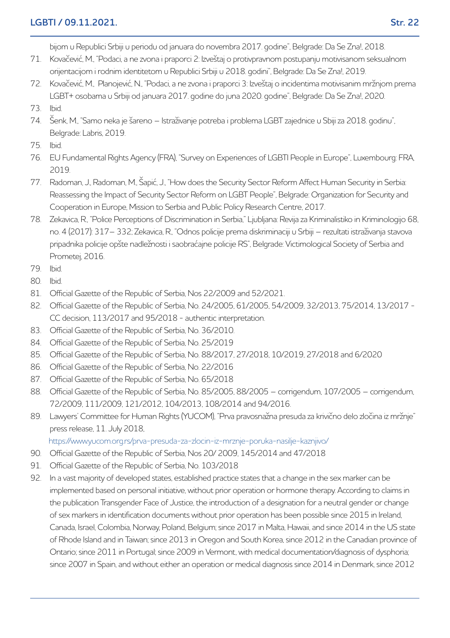#### **LGBTI / 09.11.2021. Str. 22**

bijom u Republici Srbiji u periodu od januara do novembra 2017. godine", Belgrade: Da Se Zna!, 2018.

- 71. Kovačević, M., "Podaci, a ne zvona i praporci 2: Izveštaj o protivpravnom postupanju motivisanom seksualnom orijentacijom i rodnim identitetom u Republici Srbiji u 2018. godini", Belgrade: Da Se Zna!, 2019.
- 72. Kovačević, M., Planojević, N., "Podaci, a ne zvona i praporci 3: Izveštaj o incidentima motivisanim mržnjom prema LGBT+ osobama u Srbiji od januara 2017. godine do juna 2020. godine", Belgrade: Da Se Zna!, 2020.
- 73. Ibid.
- 74. Šenk, M., "Samo neka je šareno Istraživanje potreba i problema LGBT zajednice u Sbiji za 2018. godinu", Belgrade: Labris, 2019.
- 75. Ibid.
- 76. EU Fundamental Rights Agency (FRA), "Survey on Experiences of LGBTI People in Europe", Luxembourg: FRA, 2019.
- 77. Radoman, J., Radoman, M., Šapić, J., "How does the Security Sector Reform Affect Human Security in Serbia: Reassessing the Impact of Security Sector Reform on LGBT People", Belgrade: Organization for Security and Cooperation in Europe, Mission to Serbia and Public Policy Research Centre, 2017.
- 78. Zekavica, R., "Police Perceptions of Discrimination in Serbia," Ljubljana: Revija za Kriminalistiko in Kriminologijo 68, no. 4 (2017): 317– 332; Zekavica, R., "Odnos policije prema diskriminaciji u Srbiji – rezultati istraživanja stavova pripadnika policije opšte nadležnosti i saobraćajne policije RS", Belgrade: Victimological Society of Serbia and Prometej, 2016.
- 79. Ibid.
- 80. Ibid.
- 81. Official Gazette of the Republic of Serbia, Nos 22/2009 and 52/2021.
- 82. Official Gazette of the Republic of Serbia, No. 24/2005, 61/2005, 54/2009, 32/2013, 75/2014, 13/2017 CC decision, 113/2017 and 95/2018 - authentic interpretation.
- 83. Official Gazette of the Republic of Serbia, No. 36/2010.
- 84. Official Gazette of the Republic of Serbia, No. 25/2019
- 85. Official Gazette of the Republic of Serbia, No. 88/2017, 27/2018, 10/2019, 27/2018 and 6/2020
- 86. Official Gazette of the Republic of Serbia, No. 22/2016
- 87. Official Gazette of the Republic of Serbia, No. 65/2018
- 88. Official Gazette of the Republic of Serbia, No. 85/2005, 88/2005 corrigendum, 107/2005 corrigendum, 72/2009, 111/2009, 121/2012, 104/2013, 108/2014 and 94/2016.
- 89. Lawyers' Committee for Human Rights (YUCOM), "Prva pravosnažna presuda za krivično delo zločina iz mržnje" press release, 11. July 2018,

https://www.yucom.org.rs/prva-presuda-za-zlocin-iz-mrznje-poruka-nasilje-kaznjivo/

- 90. Official Gazette of the Republic of Serbia, Nos 20/ 2009, 145/2014 and 47/2018
- 91. Official Gazette of the Republic of Serbia, No. 103/2018
- 92. In a vast majority of developed states, established practice states that a change in the sex marker can be implemented based on personal initiative, without prior operation or hormone therapy. According to claims in the publication Transgender Face of Justice, the introduction of a designation for a neutral gender or change of sex markers in identification documents without prior operation has been possible since 2015 in Ireland, Canada, Israel, Colombia, Norway, Poland, Belgium; since 2017 in Malta, Hawaii, and since 2014 in the US state of Rhode Island and in Taiwan; since 2013 in Oregon and South Korea, since 2012 in the Canadian province of Ontario; since 2011 in Portugal; since 2009 in Vermont, with medical documentation/diagnosis of dysphoria; since 2007 in Spain, and without either an operation or medical diagnosis since 2014 in Denmark, since 2012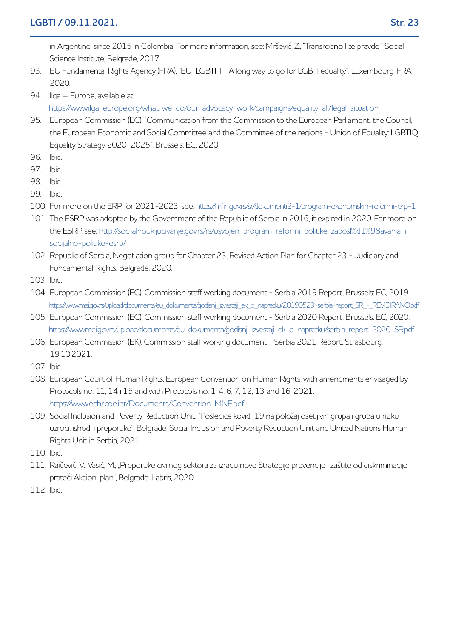in Argentine, since 2015 in Colombia. For more information, see: Mršević, Z., "Transrodno lice pravde", Social Science Institute, Belgrade, 2017.

- 93. EU Fundamental Rights Agency (FRA), "EU-LGBTI II A long way to go for LGBTI equality", Luxembourg: FRA, 2020.
- 94. Ilga Europe, available at

https://www.ilga-europe.org/what-we-do/our-advocacy-work/campaigns/equality-all/legal-situation

- 95. European Commission (EC), "Communication from the Commission to the European Parliament, the Council, the European Economic and Social Committee and the Committee of the regions - Union of Equality: LGBTIQ Equality Strategy 2020-2025", Brussels: EC, 2020.
- 96. Ibid.
- 97. Ibid.
- 98. Ibid.
- 99. Ibid.
- 100. For more on the ERP for 2021-2023, see: https://mfin.gov.rs/sr/dokumenti2-1/program-ekonomskih-reformi-erp-1
- 101. The ESRP was adopted by the Government of the Republic of Serbia in 2016, it expired in 2020. For more on the ESRP, see: http://socijalnoukljucivanje.gov.rs/rs/usvojen-program-reformi-politike-zaposl%d1%98avanja-isocijalne-politike-esrp/
- 102. Republic of Serbia, Negotiation group for Chapter 23, Revised Action Plan for Chapter 23 Judiciary and Fundamental Rights, Belgrade, 2020.
- 103. Ibid.
- 104. European Commission (EC), Commission staff working document Serbia 2019 Report, Brussels: EC, 2019. https://www.mei.gov.rs/upload/documents/eu\_dokumenta/godisnji\_izvestaji\_ek\_o\_napretku/20190529-serbia-report\_SR\_-\_REVIDIRANO.pdf
- 105. European Commission (EC), Commission staff working document Serbia 2020 Report, Brussels: EC, 2020. https://www.mei.gov.rs/upload/documents/eu\_dokumenta/godisnji\_izvestaji\_ek\_o\_napretku/serbia\_report\_2020\_SR.pdf
- 106. European Commission (EK), Commission staff working document Serbia 2021 Report, Strasbourg, 19.10.2021.
- 107. Ibid.
- 108. European Court of Human Rights, European Convention on Human Rights, with amendments envisaged by Protocols no. 11, 14 i 15 and with Protocols no. 1, 4, 6, 7, 12, 13 and 16, 2021. https://www.echr.coe.int/Documents/Convention\_MNE.pdf
- 109. Social Inclusion and Poverty Reduction Unit, "Posledice kovid-19 na položaj osetljivih grupa i grupa u riziku uzroci, ishodi i preporuke", Belgrade: Social Inclusion and Poverty Reduction Unit and United Nations Human Rights Unit in Serbia, 2021
- 110. Ibid.
- 111. Raičević, V., Vasić, M., "Preporuke civilnog sektora za izradu nove Strategije prevencije i zaštite od diskriminacije i prateći Akcioni plan", Belgrade: Labris, 2020.
- 112. Ibid.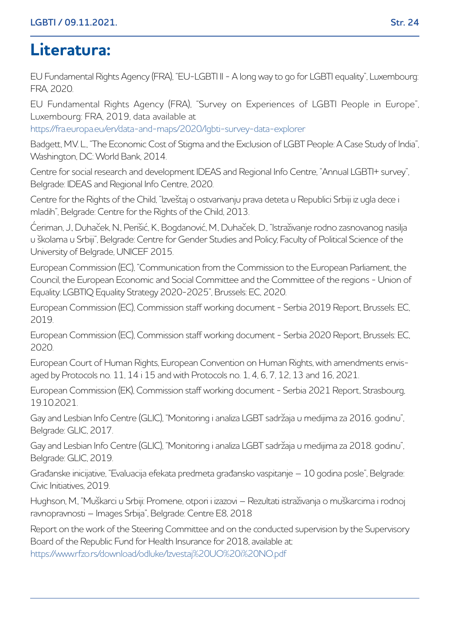# **Literatura:**

EU Fundamental Rights Agency (FRA), "EU-LGBTI II - A long way to go for LGBTI equality", Luxembourg: FRA, 2020.

EU Fundamental Rights Agency (FRA), "Survey on Experiences of LGBTI People in Europe", Luxembourg: FRA, 2019, data available at

https://fra.europa.eu/en/data-and-maps/2020/lgbti-survey-data-explorer

Badgett, M.V. L., "The Economic Cost of Stigma and the Exclusion of LGBT People: A Case Study of India", Washington, DC: World Bank, 2014.

Centre for social research and development IDEAS and Regional Info Centre, "Annual LGBTI+ survey", Belgrade: IDEAS and Regional Info Centre, 2020.

Centre for the Rights of the Child, "Izveštaj o ostvarivanju prava deteta u Republici Srbiji iz ugla dece i mladih", Belgrade: Centre for the Rights of the Child, 2013.

Ćeriman, J., Duhaček, N., Perišić, K., Bogdanović, M., Duhaček, D., "Istraživanje rodno zasnovanog nasilja u školama u Srbiji", Belgrade: Centre for Gender Studies and Policy; Faculty of Political Science of the University of Belgrade, UNICEF 2015.

European Commission (EC), "Communication from the Commission to the European Parliament, the Council, the European Economic and Social Committee and the Committee of the regions - Union of Equality: LGBTIQ Equality Strategy 2020-2025", Brussels: EC, 2020.

European Commission (EC), Commission staff working document - Serbia 2019 Report, Brussels: EC, 2019.

European Commission (EC), Commission staff working document - Serbia 2020 Report, Brussels: EC, 2020.

European Court of Human Rights, European Convention on Human Rights, with amendments envisaged by Protocols no. 11, 14 i 15 and with Protocols no. 1, 4, 6, 7, 12, 13 and 16, 2021.

European Commission (EK), Commission staff working document - Serbia 2021 Report, Strasbourg, 19.10.2021.

Gay and Lesbian Info Centre (GLIC), "Monitoring i analiza LGBT sadržaja u medijima za 2016. godinu", Belgrade: GLIC, 2017.

Gay and Lesbian Info Centre (GLIC), "Monitoring i analiza LGBT sadržaja u medijima za 2018. godinu", Belgrade: GLIC, 2019.

Građanske inicijative, "Evaluacija efekata predmeta građansko vaspitanje – 10 godina posle", Belgrade: Civic Initiatives, 2019.

Hughson, M., "Muškarci u Srbiji: Promene, otpori i izazovi – Rezultati istraživanja o muškarcima i rodnoj ravnopravnosti – Images Srbija", Belgrade: Centre E8, 2018

Report on the work of the Steering Committee and on the conducted supervision by the Supervisory Board of the Republic Fund for Health Insurance for 2018, available at:

https://www.rfzo.rs/download/odluke/Izvestaj%20UO%20i%20NO.pdf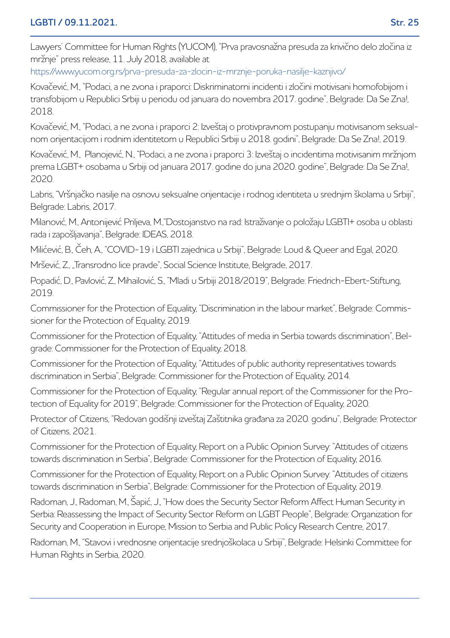Lawyers' Committee for Human Rights (YUCOM), "Prva pravosnažna presuda za krivično delo zločina iz mržnje" press release, 11. July 2018, available at

https://www.yucom.org.rs/prva-presuda-za-zlocin-iz-mrznje-poruka-nasilje-kaznjivo/

Kovačević, M., "Podaci, a ne zvona i praporci: Diskriminatorni incidenti i zločini motivisani homofobijom i transfobijom u Republici Srbiji u periodu od januara do novembra 2017. godine", Belgrade: Da Se Zna!, 2018.

Kovačević, M., "Podaci, a ne zvona i praporci 2: Izveštaj o protivpravnom postupanju motivisanom seksualnom orijentacijom i rodnim identitetom u Republici Srbiji u 2018. godini", Belgrade: Da Se Zna!, 2019.

Kovačević, M., Planojević, N., "Podaci, a ne zvona i praporci 3: Izveštaj o incidentima motivisanim mržnjom prema LGBT+ osobama u Srbiji od januara 2017. godine do juna 2020. godine", Belgrade: Da Se Zna!, 2020.

Labris, "Vršnjačko nasilje na osnovu seksualne orijentacije i rodnog identiteta u srednjim školama u Srbiji", Belgrade: Labris, 2017.

Milanović, M., Antonijević Priljeva, M.,"Dostojanstvo na rad: Istraživanje o položaju LGBTI+ osoba u oblasti rada i zapošljavanja", Belgrade: IDEAS, 2018.

Milićević, B., Čeh, A., "COVID-19 i LGBTI zajednica u Srbiji", Belgrade: Loud & Queer and Egal, 2020.

Mršević, Z., "Transrodno lice pravde", Social Science Institute, Belgrade, 2017.

Popadić, D., Pavlović, Z., Mihailović, S., "Mladi u Srbiji 2018/2019", Belgrade: Friedrich-Ebert-Stiftung, 2019.

Commissioner for the Protection of Equality, "Discrimination in the labour market", Belgrade: Commissioner for the Protection of Equality, 2019.

Commissioner for the Protection of Equality, "Attitudes of media in Serbia towards discrimination", Belgrade: Commissioner for the Protection of Equality, 2018.

Commissioner for the Protection of Equality, "Attitudes of public authority representatives towards discrimination in Serbia", Belgrade: Commissioner for the Protection of Equality, 2014.

Commissioner for the Protection of Equality, "Regular annual report of the Commissioner for the Protection of Equality for 2019", Belgrade: Commissioner for the Protection of Equality, 2020.

Protector of Citizens, "Redovan godišnji izveštaj Zaštitnika građana za 2020. godinu", Belgrade: Protector of Citizens, 2021.

Commissioner for the Protection of Equality, Report on a Public Opinion Survey: "Attitudes of citizens towards discrimination in Serbia", Belgrade: Commissioner for the Protection of Equality, 2016.

Commissioner for the Protection of Equality, Report on a Public Opinion Survey: "Attitudes of citizens towards discrimination in Serbia", Belgrade: Commissioner for the Protection of Equality, 2019.

Radoman, J., Radoman, M., Šapić, J., "How does the Security Sector Reform Affect Human Security in Serbia: Reassessing the Impact of Security Sector Reform on LGBT People", Belgrade: Organization for Security and Cooperation in Europe, Mission to Serbia and Public Policy Research Centre, 2017.

Radoman, M., "Stavovi i vrednosne orijentacije srednjoškolaca u Srbiji", Belgrade: Helsinki Committee for Human Rights in Serbia, 2020.